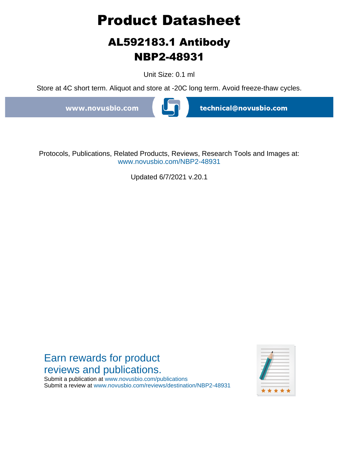# **Product Datasheet**

## **AL592183.1 Antibody NBP2-48931**

Unit Size: 0.1 ml

Store at 4C short term. Aliquot and store at -20C long term. Avoid freeze-thaw cycles.

www.novusbio.com



technical@novusbio.com

Protocols, Publications, Related Products, Reviews, Research Tools and Images at: www.novusbio.com/NBP2-48931

Updated 6/7/2021 v.20.1

### Earn rewards for product reviews and publications.

Submit a publication at www.novusbio.com/publications Submit a review at www.novusbio.com/reviews/destination/NBP2-48931

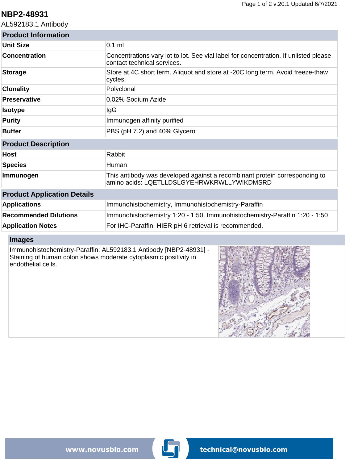#### **NBP2-48931**

AL592183.1 Antibody

| <b>Product Information</b>         |                                                                                                                          |
|------------------------------------|--------------------------------------------------------------------------------------------------------------------------|
| <b>Unit Size</b>                   | $0.1$ ml                                                                                                                 |
| <b>Concentration</b>               | Concentrations vary lot to lot. See vial label for concentration. If unlisted please<br>contact technical services.      |
| <b>Storage</b>                     | Store at 4C short term. Aliquot and store at -20C long term. Avoid freeze-thaw<br>cycles.                                |
| <b>Clonality</b>                   | Polyclonal                                                                                                               |
| <b>Preservative</b>                | 0.02% Sodium Azide                                                                                                       |
| <b>Isotype</b>                     | IgG                                                                                                                      |
| <b>Purity</b>                      | Immunogen affinity purified                                                                                              |
| <b>Buffer</b>                      | PBS (pH 7.2) and 40% Glycerol                                                                                            |
| <b>Product Description</b>         |                                                                                                                          |
| <b>Host</b>                        | Rabbit                                                                                                                   |
| <b>Species</b>                     | Human                                                                                                                    |
| Immunogen                          | This antibody was developed against a recombinant protein corresponding to<br>amino acids: LQETLLDSLGYEHRWKRWLLYWIKDMSRD |
| <b>Product Application Details</b> |                                                                                                                          |
| <b>Applications</b>                | Immunohistochemistry, Immunohistochemistry-Paraffin                                                                      |
| <b>Recommended Dilutions</b>       | Immunohistochemistry 1:20 - 1:50, Immunohistochemistry-Paraffin 1:20 - 1:50                                              |
| <b>Application Notes</b>           | For IHC-Paraffin, HIER pH 6 retrieval is recommended.                                                                    |

#### **Images**

Immunohistochemistry-Paraffin: AL592183.1 Antibody [NBP2-48931] - Staining of human colon shows moderate cytoplasmic positivity in endothelial cells.